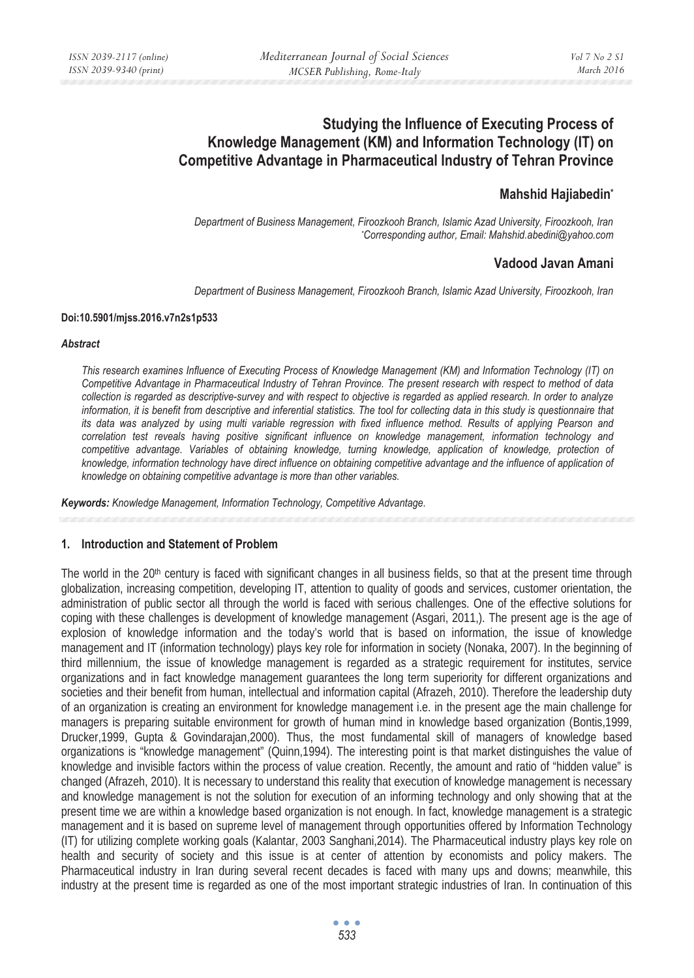# **Studying the Influence of Executing Process of Knowledge Management (KM) and Information Technology (IT) on Competitive Advantage in Pharmaceutical Industry of Tehran Province**

# **Mahshid Hajiabedin\***

*Department of Business Management, Firoozkooh Branch, Islamic Azad University, Firoozkooh, Iran \* Corresponding author, Email: Mahshid.abedini@yahoo.com*

# **Vadood Javan Amani**

*Department of Business Management, Firoozkooh Branch, Islamic Azad University, Firoozkooh, Iran* 

#### **Doi:10.5901/mjss.2016.v7n2s1p533**

#### *Abstract*

*This research examines Influence of Executing Process of Knowledge Management (KM) and Information Technology (IT) on Competitive Advantage in Pharmaceutical Industry of Tehran Province. The present research with respect to method of data collection is regarded as descriptive-survey and with respect to objective is regarded as applied research. In order to analyze information, it is benefit from descriptive and inferential statistics. The tool for collecting data in this study is questionnaire that its data was analyzed by using multi variable regression with fixed influence method. Results of applying Pearson and correlation test reveals having positive significant influence on knowledge management, information technology and*  competitive advantage. Variables of obtaining knowledge, turning knowledge, application of knowledge, protection of knowledge, information technology have direct influence on obtaining competitive advantage and the influence of application of *knowledge on obtaining competitive advantage is more than other variables.* 

*Keywords: Knowledge Management, Information Technology, Competitive Advantage.* 

#### **1. Introduction and Statement of Problem**

The world in the  $20<sup>th</sup>$  century is faced with significant changes in all business fields, so that at the present time through globalization, increasing competition, developing IT, attention to quality of goods and services, customer orientation, the administration of public sector all through the world is faced with serious challenges. One of the effective solutions for coping with these challenges is development of knowledge management (Asgari, 2011,). The present age is the age of explosion of knowledge information and the today's world that is based on information, the issue of knowledge management and IT (information technology) plays key role for information in society (Nonaka, 2007). In the beginning of third millennium, the issue of knowledge management is regarded as a strategic requirement for institutes, service organizations and in fact knowledge management guarantees the long term superiority for different organizations and societies and their benefit from human, intellectual and information capital (Afrazeh, 2010). Therefore the leadership duty of an organization is creating an environment for knowledge management i.e. in the present age the main challenge for managers is preparing suitable environment for growth of human mind in knowledge based organization (Bontis,1999, Drucker,1999, Gupta & Govindarajan,2000). Thus, the most fundamental skill of managers of knowledge based organizations is "knowledge management" (Quinn,1994). The interesting point is that market distinguishes the value of knowledge and invisible factors within the process of value creation. Recently, the amount and ratio of "hidden value" is changed (Afrazeh, 2010). It is necessary to understand this reality that execution of knowledge management is necessary and knowledge management is not the solution for execution of an informing technology and only showing that at the present time we are within a knowledge based organization is not enough. In fact, knowledge management is a strategic management and it is based on supreme level of management through opportunities offered by Information Technology (IT) for utilizing complete working goals (Kalantar, 2003 Sanghani,2014). The Pharmaceutical industry plays key role on health and security of society and this issue is at center of attention by economists and policy makers. The Pharmaceutical industry in Iran during several recent decades is faced with many ups and downs; meanwhile, this industry at the present time is regarded as one of the most important strategic industries of Iran. In continuation of this

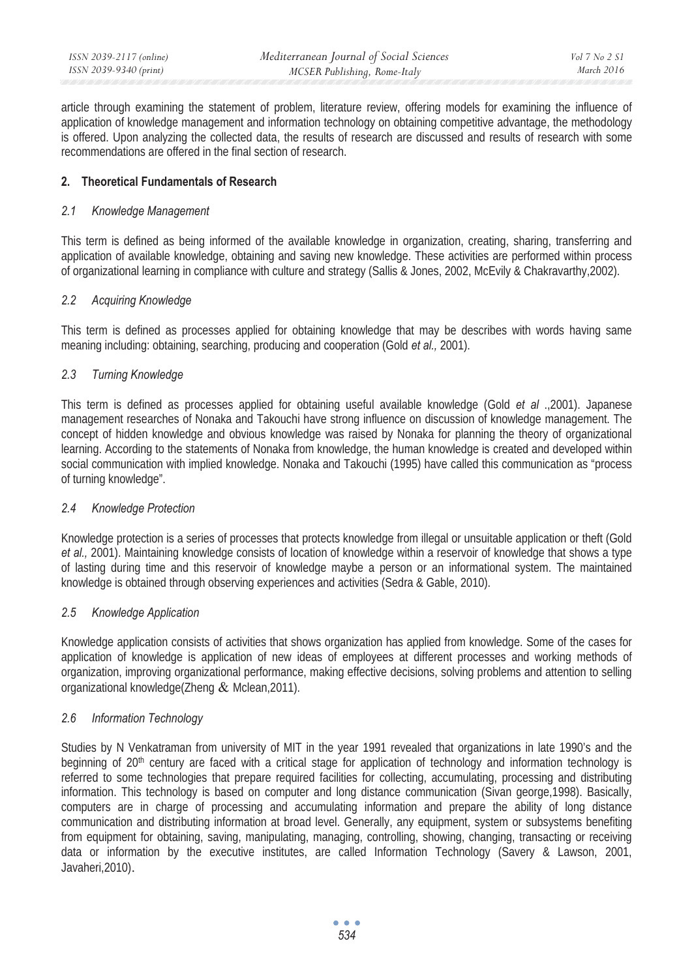| ISSN 2039-2117 (online) | Mediterranean Journal of Social Sciences | Vol 7 No 2 S1 |
|-------------------------|------------------------------------------|---------------|
| ISSN 2039-9340 (print)  | MCSER Publishing, Rome-Italy             | March 2016    |

article through examining the statement of problem, literature review, offering models for examining the influence of application of knowledge management and information technology on obtaining competitive advantage, the methodology is offered. Upon analyzing the collected data, the results of research are discussed and results of research with some recommendations are offered in the final section of research.

# **2. Theoretical Fundamentals of Research**

#### *2.1 Knowledge Management*

This term is defined as being informed of the available knowledge in organization, creating, sharing, transferring and application of available knowledge, obtaining and saving new knowledge. These activities are performed within process of organizational learning in compliance with culture and strategy (Sallis & Jones, 2002, McEvily & Chakravarthy,2002).

#### *2.2 Acquiring Knowledge*

This term is defined as processes applied for obtaining knowledge that may be describes with words having same meaning including: obtaining, searching, producing and cooperation (Gold *et al.,* 2001).

### *2.3 Turning Knowledge*

This term is defined as processes applied for obtaining useful available knowledge (Gold *et al* .,2001). Japanese management researches of Nonaka and Takouchi have strong influence on discussion of knowledge management. The concept of hidden knowledge and obvious knowledge was raised by Nonaka for planning the theory of organizational learning. According to the statements of Nonaka from knowledge, the human knowledge is created and developed within social communication with implied knowledge. Nonaka and Takouchi (1995) have called this communication as "process of turning knowledge".

#### *2.4 Knowledge Protection*

Knowledge protection is a series of processes that protects knowledge from illegal or unsuitable application or theft (Gold *et al.,* 2001). Maintaining knowledge consists of location of knowledge within a reservoir of knowledge that shows a type of lasting during time and this reservoir of knowledge maybe a person or an informational system. The maintained knowledge is obtained through observing experiences and activities (Sedra & Gable, 2010).

#### *2.5 Knowledge Application*

Knowledge application consists of activities that shows organization has applied from knowledge. Some of the cases for application of knowledge is application of new ideas of employees at different processes and working methods of organization, improving organizational performance, making effective decisions, solving problems and attention to selling organizational knowledge(Zheng & Mclean,2011).

#### *2.6 Information Technology*

Studies by N Venkatraman from university of MIT in the year 1991 revealed that organizations in late 1990's and the beginning of 20<sup>th</sup> century are faced with a critical stage for application of technology and information technology is referred to some technologies that prepare required facilities for collecting, accumulating, processing and distributing information. This technology is based on computer and long distance communication (Sivan george,1998). Basically, computers are in charge of processing and accumulating information and prepare the ability of long distance communication and distributing information at broad level. Generally, any equipment, system or subsystems benefiting from equipment for obtaining, saving, manipulating, managing, controlling, showing, changing, transacting or receiving data or information by the executive institutes, are called Information Technology (Savery & Lawson, 2001, Javaheri,2010).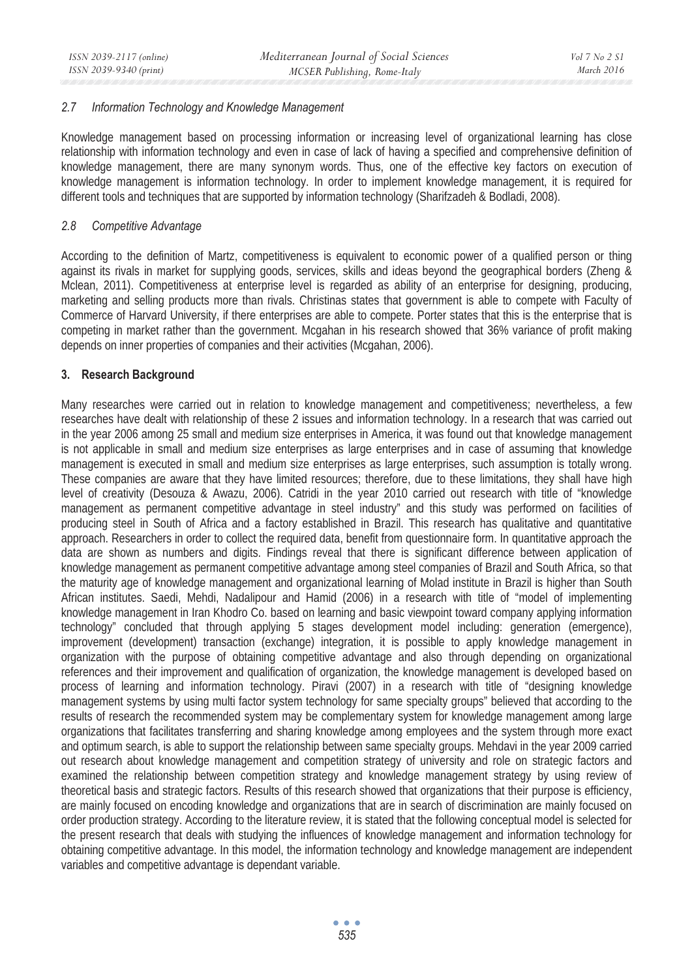#### *2.7 Information Technology and Knowledge Management*

Knowledge management based on processing information or increasing level of organizational learning has close relationship with information technology and even in case of lack of having a specified and comprehensive definition of knowledge management, there are many synonym words. Thus, one of the effective key factors on execution of knowledge management is information technology. In order to implement knowledge management, it is required for different tools and techniques that are supported by information technology (Sharifzadeh & Bodladi, 2008).

### *2.8 Competitive Advantage*

According to the definition of Martz, competitiveness is equivalent to economic power of a qualified person or thing against its rivals in market for supplying goods, services, skills and ideas beyond the geographical borders (Zheng & Mclean, 2011). Competitiveness at enterprise level is regarded as ability of an enterprise for designing, producing, marketing and selling products more than rivals. Christinas states that government is able to compete with Faculty of Commerce of Harvard University, if there enterprises are able to compete. Porter states that this is the enterprise that is competing in market rather than the government. Mcgahan in his research showed that 36% variance of profit making depends on inner properties of companies and their activities (Mcgahan, 2006).

### **3. Research Background**

Many researches were carried out in relation to knowledge management and competitiveness; nevertheless, a few researches have dealt with relationship of these 2 issues and information technology. In a research that was carried out in the year 2006 among 25 small and medium size enterprises in America, it was found out that knowledge management is not applicable in small and medium size enterprises as large enterprises and in case of assuming that knowledge management is executed in small and medium size enterprises as large enterprises, such assumption is totally wrong. These companies are aware that they have limited resources; therefore, due to these limitations, they shall have high level of creativity (Desouza & Awazu, 2006). Catridi in the year 2010 carried out research with title of "knowledge management as permanent competitive advantage in steel industry" and this study was performed on facilities of producing steel in South of Africa and a factory established in Brazil. This research has qualitative and quantitative approach. Researchers in order to collect the required data, benefit from questionnaire form. In quantitative approach the data are shown as numbers and digits. Findings reveal that there is significant difference between application of knowledge management as permanent competitive advantage among steel companies of Brazil and South Africa, so that the maturity age of knowledge management and organizational learning of Molad institute in Brazil is higher than South African institutes. Saedi, Mehdi, Nadalipour and Hamid (2006) in a research with title of "model of implementing knowledge management in Iran Khodro Co. based on learning and basic viewpoint toward company applying information technology" concluded that through applying 5 stages development model including: generation (emergence), improvement (development) transaction (exchange) integration, it is possible to apply knowledge management in organization with the purpose of obtaining competitive advantage and also through depending on organizational references and their improvement and qualification of organization, the knowledge management is developed based on process of learning and information technology. Piravi (2007) in a research with title of "designing knowledge management systems by using multi factor system technology for same specialty groups" believed that according to the results of research the recommended system may be complementary system for knowledge management among large organizations that facilitates transferring and sharing knowledge among employees and the system through more exact and optimum search, is able to support the relationship between same specialty groups. Mehdavi in the year 2009 carried out research about knowledge management and competition strategy of university and role on strategic factors and examined the relationship between competition strategy and knowledge management strategy by using review of theoretical basis and strategic factors. Results of this research showed that organizations that their purpose is efficiency, are mainly focused on encoding knowledge and organizations that are in search of discrimination are mainly focused on order production strategy. According to the literature review, it is stated that the following conceptual model is selected for the present research that deals with studying the influences of knowledge management and information technology for obtaining competitive advantage. In this model, the information technology and knowledge management are independent variables and competitive advantage is dependant variable.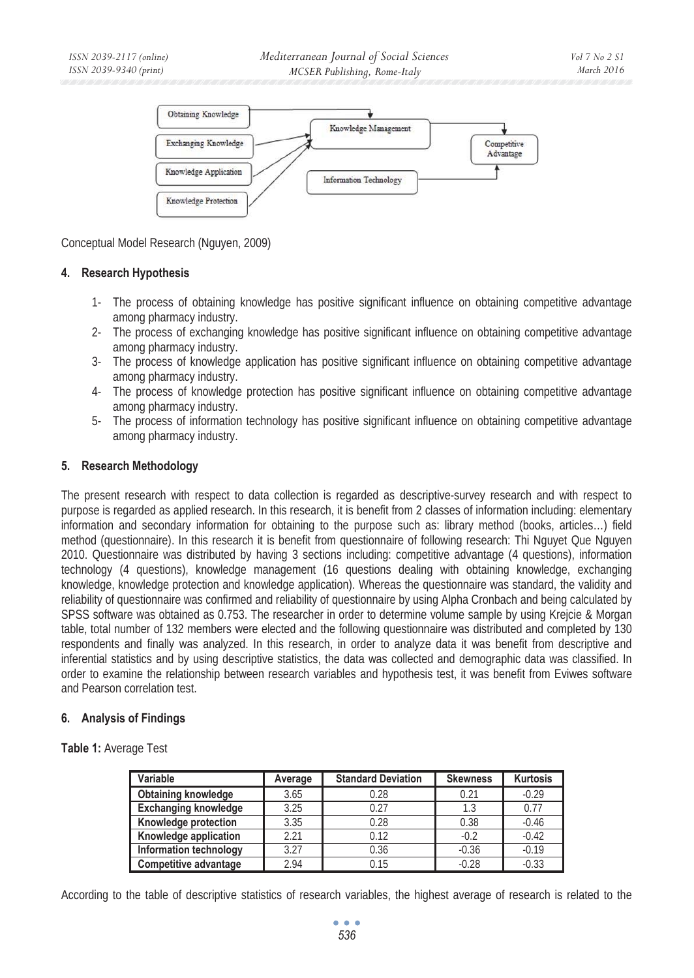

Conceptual Model Research (Nguyen, 2009)

# **4. Research Hypothesis**

- 1- The process of obtaining knowledge has positive significant influence on obtaining competitive advantage among pharmacy industry.
- 2- The process of exchanging knowledge has positive significant influence on obtaining competitive advantage among pharmacy industry.
- 3- The process of knowledge application has positive significant influence on obtaining competitive advantage among pharmacy industry.
- 4- The process of knowledge protection has positive significant influence on obtaining competitive advantage among pharmacy industry.
- 5- The process of information technology has positive significant influence on obtaining competitive advantage among pharmacy industry.

### **5. Research Methodology**

The present research with respect to data collection is regarded as descriptive-survey research and with respect to purpose is regarded as applied research. In this research, it is benefit from 2 classes of information including: elementary information and secondary information for obtaining to the purpose such as: library method (books, articles…) field method (questionnaire). In this research it is benefit from questionnaire of following research: Thi Nguyet Que Nguyen 2010. Questionnaire was distributed by having 3 sections including: competitive advantage (4 questions), information technology (4 questions), knowledge management (16 questions dealing with obtaining knowledge, exchanging knowledge, knowledge protection and knowledge application). Whereas the questionnaire was standard, the validity and reliability of questionnaire was confirmed and reliability of questionnaire by using Alpha Cronbach and being calculated by SPSS software was obtained as 0.753. The researcher in order to determine volume sample by using Krejcie & Morgan table, total number of 132 members were elected and the following questionnaire was distributed and completed by 130 respondents and finally was analyzed. In this research, in order to analyze data it was benefit from descriptive and inferential statistics and by using descriptive statistics, the data was collected and demographic data was classified. In order to examine the relationship between research variables and hypothesis test, it was benefit from Eviwes software and Pearson correlation test.

#### **6. Analysis of Findings**

**Table 1:** Average Test

| Variable                    | Average | <b>Standard Deviation</b> | <b>Skewness</b> | <b>Kurtosis</b> |  |
|-----------------------------|---------|---------------------------|-----------------|-----------------|--|
| <b>Obtaining knowledge</b>  | 3.65    | 0.28                      | 0.21            | $-0.29$         |  |
| <b>Exchanging knowledge</b> | 3.25    | 0.27                      | 1.3             | 0.77            |  |
| Knowledge protection        | 3.35    | 0.28                      | 0.38            | $-0.46$         |  |
| Knowledge application       | 2.21    | 0.12                      | $-0.2$          | $-0.42$         |  |
| Information technology      | 3.27    | 0.36                      | $-0.36$         | $-0.19$         |  |
| Competitive advantage       | 2.94    | 0.15                      | $-0.28$         | $-0.33$         |  |

According to the table of descriptive statistics of research variables, the highest average of research is related to the

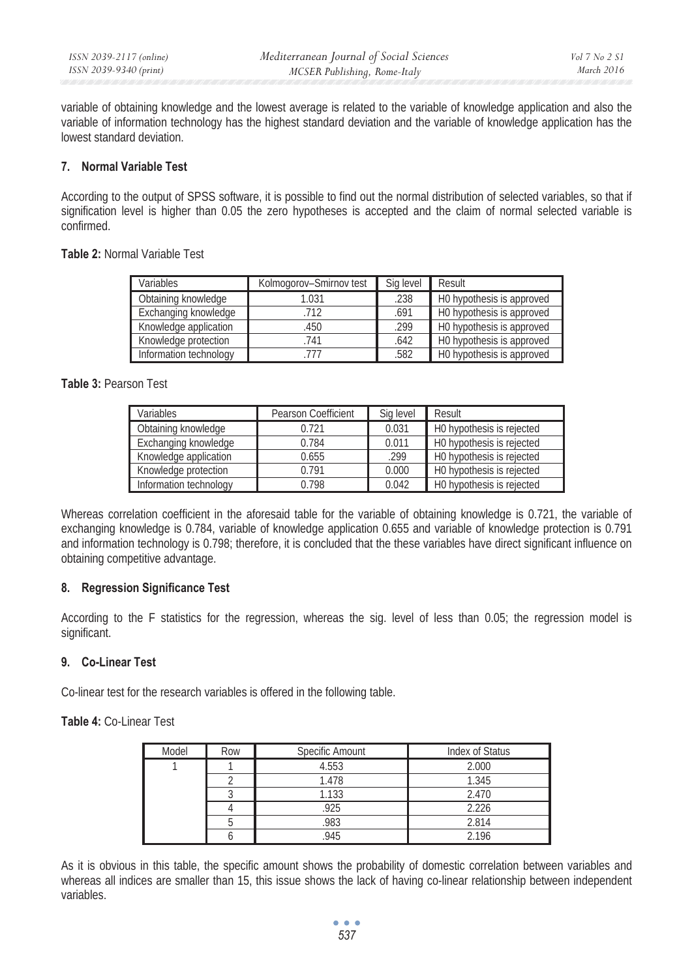variable of obtaining knowledge and the lowest average is related to the variable of knowledge application and also the variable of information technology has the highest standard deviation and the variable of knowledge application has the lowest standard deviation.

# **7. Normal Variable Test**

According to the output of SPSS software, it is possible to find out the normal distribution of selected variables, so that if signification level is higher than 0.05 the zero hypotheses is accepted and the claim of normal selected variable is confirmed.

# **Table 2:** Normal Variable Test

| Variables              | Kolmogorov-Smirnov test | Sig level | Result                    |
|------------------------|-------------------------|-----------|---------------------------|
| Obtaining knowledge    | 1.031                   | .238      | HO hypothesis is approved |
| Exchanging knowledge   | 712                     | .691      | H0 hypothesis is approved |
| Knowledge application  | .450                    | .299      | H0 hypothesis is approved |
| Knowledge protection   | .741                    | .642      | H0 hypothesis is approved |
| Information technology | 777                     | .582      | H0 hypothesis is approved |

# **Table 3:** Pearson Test

| Variables              | Pearson Coefficient | Sig level | Result                    |
|------------------------|---------------------|-----------|---------------------------|
| Obtaining knowledge    | 0.721               | 0.031     | H0 hypothesis is rejected |
| Exchanging knowledge   | 0.784               | 0.011     | H0 hypothesis is rejected |
| Knowledge application  | 0.655               | .299      | H0 hypothesis is rejected |
| Knowledge protection   | 0.791               | 0.000     | H0 hypothesis is rejected |
| Information technology | 0.798               | 0.042     | H0 hypothesis is rejected |

Whereas correlation coefficient in the aforesaid table for the variable of obtaining knowledge is 0.721, the variable of exchanging knowledge is 0.784, variable of knowledge application 0.655 and variable of knowledge protection is 0.791 and information technology is 0.798; therefore, it is concluded that the these variables have direct significant influence on obtaining competitive advantage.

# **8. Regression Significance Test**

According to the F statistics for the regression, whereas the sig. level of less than 0.05; the regression model is significant.

#### **9. Co-Linear Test**

Co-linear test for the research variables is offered in the following table.

**Table 4:** Co-Linear Test

| Model | Row | Specific Amount | Index of Status |
|-------|-----|-----------------|-----------------|
|       |     | 4.553           | 2.000           |
|       |     | 1.478           | 1.345           |
|       |     | 1.133           | 2.470           |
|       |     | .925            | 2.226           |
|       |     | .983            | 2.814           |
|       |     | 945             | 2.196           |

As it is obvious in this table, the specific amount shows the probability of domestic correlation between variables and whereas all indices are smaller than 15, this issue shows the lack of having co-linear relationship between independent variables.

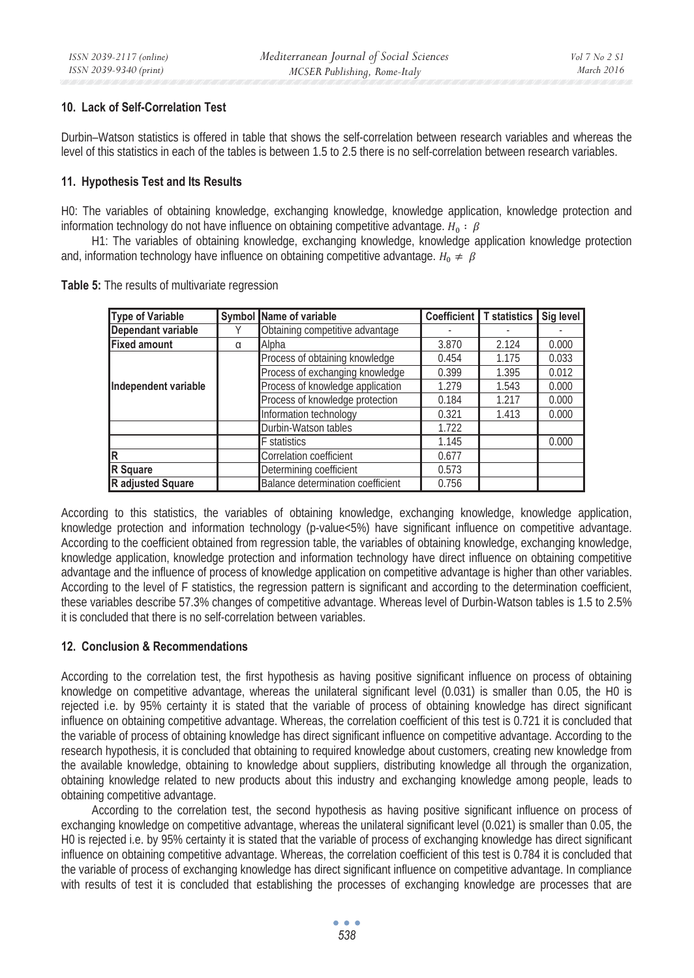#### **10. Lack of Self-Correlation Test**

Durbin–Watson statistics is offered in table that shows the self-correlation between research variables and whereas the level of this statistics in each of the tables is between 1.5 to 2.5 there is no self-correlation between research variables.

# **11. Hypothesis Test and Its Results**

H0: The variables of obtaining knowledge, exchanging knowledge, knowledge application, knowledge protection and information technology do not have influence on obtaining competitive advantage.  $H_0: \beta$ 

H1: The variables of obtaining knowledge, exchanging knowledge, knowledge application knowledge protection and, information technology have influence on obtaining competitive advantage.  $H_0 \neq \beta$ 

| <b>Type of Variable</b> |   | Symbol Name of variable           |       | Coefficient T statistics I | Sig level |
|-------------------------|---|-----------------------------------|-------|----------------------------|-----------|
| Dependant variable      |   | Obtaining competitive advantage   |       |                            |           |
| <b>Fixed amount</b>     | α | Alpha                             | 3.870 | 2.124                      | 0.000     |
| Independent variable    |   | Process of obtaining knowledge    | 0.454 | 1.175                      | 0.033     |
|                         |   | Process of exchanging knowledge   | 0.399 | 1.395                      | 0.012     |
|                         |   | Process of knowledge application  | 1.279 | 1.543                      | 0.000     |
|                         |   | Process of knowledge protection   | 0.184 | 1.217                      | 0.000     |
|                         |   | Information technology            | 0.321 | 1.413                      | 0.000     |
|                         |   | Durbin-Watson tables              | 1.722 |                            |           |
|                         |   | <b>F</b> statistics               | 1.145 |                            | 0.000     |
| lR.                     |   | Correlation coefficient           | 0.677 |                            |           |
| R Square                |   | Determining coefficient           | 0.573 |                            |           |
| R adjusted Square       |   | Balance determination coefficient | 0.756 |                            |           |

**Table 5:** The results of multivariate regression

According to this statistics, the variables of obtaining knowledge, exchanging knowledge, knowledge application, knowledge protection and information technology (p-value<5%) have significant influence on competitive advantage. According to the coefficient obtained from regression table, the variables of obtaining knowledge, exchanging knowledge, knowledge application, knowledge protection and information technology have direct influence on obtaining competitive advantage and the influence of process of knowledge application on competitive advantage is higher than other variables. According to the level of F statistics, the regression pattern is significant and according to the determination coefficient, these variables describe 57.3% changes of competitive advantage. Whereas level of Durbin-Watson tables is 1.5 to 2.5% it is concluded that there is no self-correlation between variables.

# **12. Conclusion & Recommendations**

According to the correlation test, the first hypothesis as having positive significant influence on process of obtaining knowledge on competitive advantage, whereas the unilateral significant level (0.031) is smaller than 0.05, the H0 is rejected i.e. by 95% certainty it is stated that the variable of process of obtaining knowledge has direct significant influence on obtaining competitive advantage. Whereas, the correlation coefficient of this test is 0.721 it is concluded that the variable of process of obtaining knowledge has direct significant influence on competitive advantage. According to the research hypothesis, it is concluded that obtaining to required knowledge about customers, creating new knowledge from the available knowledge, obtaining to knowledge about suppliers, distributing knowledge all through the organization, obtaining knowledge related to new products about this industry and exchanging knowledge among people, leads to obtaining competitive advantage.

According to the correlation test, the second hypothesis as having positive significant influence on process of exchanging knowledge on competitive advantage, whereas the unilateral significant level (0.021) is smaller than 0.05, the H0 is rejected i.e. by 95% certainty it is stated that the variable of process of exchanging knowledge has direct significant influence on obtaining competitive advantage. Whereas, the correlation coefficient of this test is 0.784 it is concluded that the variable of process of exchanging knowledge has direct significant influence on competitive advantage. In compliance with results of test it is concluded that establishing the processes of exchanging knowledge are processes that are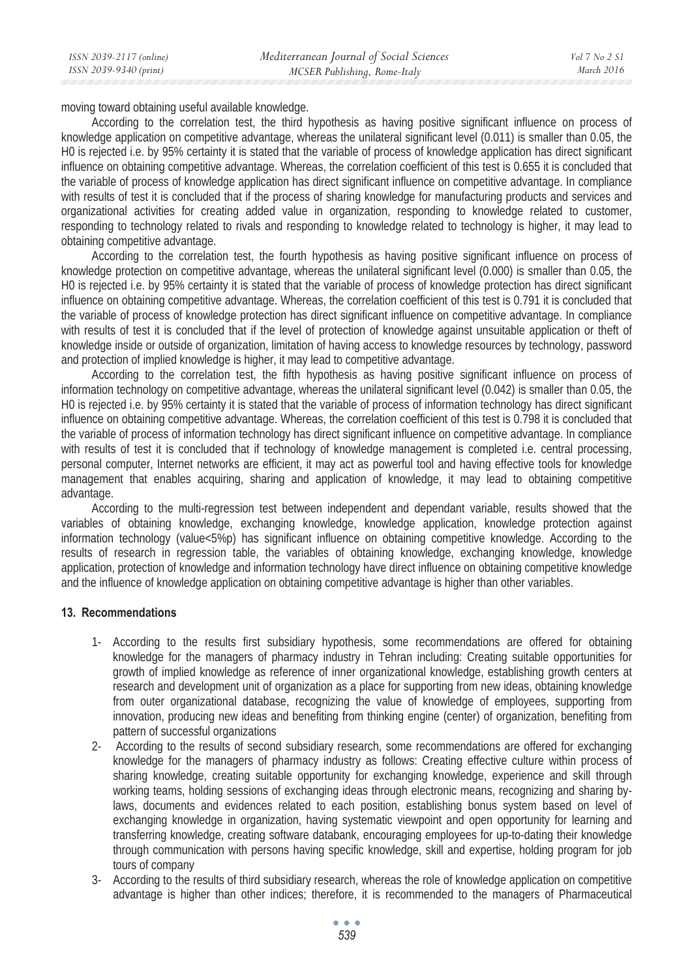moving toward obtaining useful available knowledge.

According to the correlation test, the third hypothesis as having positive significant influence on process of knowledge application on competitive advantage, whereas the unilateral significant level (0.011) is smaller than 0.05, the H0 is rejected i.e. by 95% certainty it is stated that the variable of process of knowledge application has direct significant influence on obtaining competitive advantage. Whereas, the correlation coefficient of this test is 0.655 it is concluded that the variable of process of knowledge application has direct significant influence on competitive advantage. In compliance with results of test it is concluded that if the process of sharing knowledge for manufacturing products and services and organizational activities for creating added value in organization, responding to knowledge related to customer, responding to technology related to rivals and responding to knowledge related to technology is higher, it may lead to obtaining competitive advantage.

According to the correlation test, the fourth hypothesis as having positive significant influence on process of knowledge protection on competitive advantage, whereas the unilateral significant level (0.000) is smaller than 0.05, the H0 is rejected i.e. by 95% certainty it is stated that the variable of process of knowledge protection has direct significant influence on obtaining competitive advantage. Whereas, the correlation coefficient of this test is 0.791 it is concluded that the variable of process of knowledge protection has direct significant influence on competitive advantage. In compliance with results of test it is concluded that if the level of protection of knowledge against unsuitable application or theft of knowledge inside or outside of organization, limitation of having access to knowledge resources by technology, password and protection of implied knowledge is higher, it may lead to competitive advantage.

According to the correlation test, the fifth hypothesis as having positive significant influence on process of information technology on competitive advantage, whereas the unilateral significant level (0.042) is smaller than 0.05, the H0 is rejected i.e. by 95% certainty it is stated that the variable of process of information technology has direct significant influence on obtaining competitive advantage. Whereas, the correlation coefficient of this test is 0.798 it is concluded that the variable of process of information technology has direct significant influence on competitive advantage. In compliance with results of test it is concluded that if technology of knowledge management is completed i.e. central processing, personal computer, Internet networks are efficient, it may act as powerful tool and having effective tools for knowledge management that enables acquiring, sharing and application of knowledge, it may lead to obtaining competitive advantage.

According to the multi-regression test between independent and dependant variable, results showed that the variables of obtaining knowledge, exchanging knowledge, knowledge application, knowledge protection against information technology (value<5%p) has significant influence on obtaining competitive knowledge. According to the results of research in regression table, the variables of obtaining knowledge, exchanging knowledge, knowledge application, protection of knowledge and information technology have direct influence on obtaining competitive knowledge and the influence of knowledge application on obtaining competitive advantage is higher than other variables.

#### **13. Recommendations**

- 1- According to the results first subsidiary hypothesis, some recommendations are offered for obtaining knowledge for the managers of pharmacy industry in Tehran including: Creating suitable opportunities for growth of implied knowledge as reference of inner organizational knowledge, establishing growth centers at research and development unit of organization as a place for supporting from new ideas, obtaining knowledge from outer organizational database, recognizing the value of knowledge of employees, supporting from innovation, producing new ideas and benefiting from thinking engine (center) of organization, benefiting from pattern of successful organizations
- 2- According to the results of second subsidiary research, some recommendations are offered for exchanging knowledge for the managers of pharmacy industry as follows: Creating effective culture within process of sharing knowledge, creating suitable opportunity for exchanging knowledge, experience and skill through working teams, holding sessions of exchanging ideas through electronic means, recognizing and sharing bylaws, documents and evidences related to each position, establishing bonus system based on level of exchanging knowledge in organization, having systematic viewpoint and open opportunity for learning and transferring knowledge, creating software databank, encouraging employees for up-to-dating their knowledge through communication with persons having specific knowledge, skill and expertise, holding program for job tours of company
- 3- According to the results of third subsidiary research, whereas the role of knowledge application on competitive advantage is higher than other indices; therefore, it is recommended to the managers of Pharmaceutical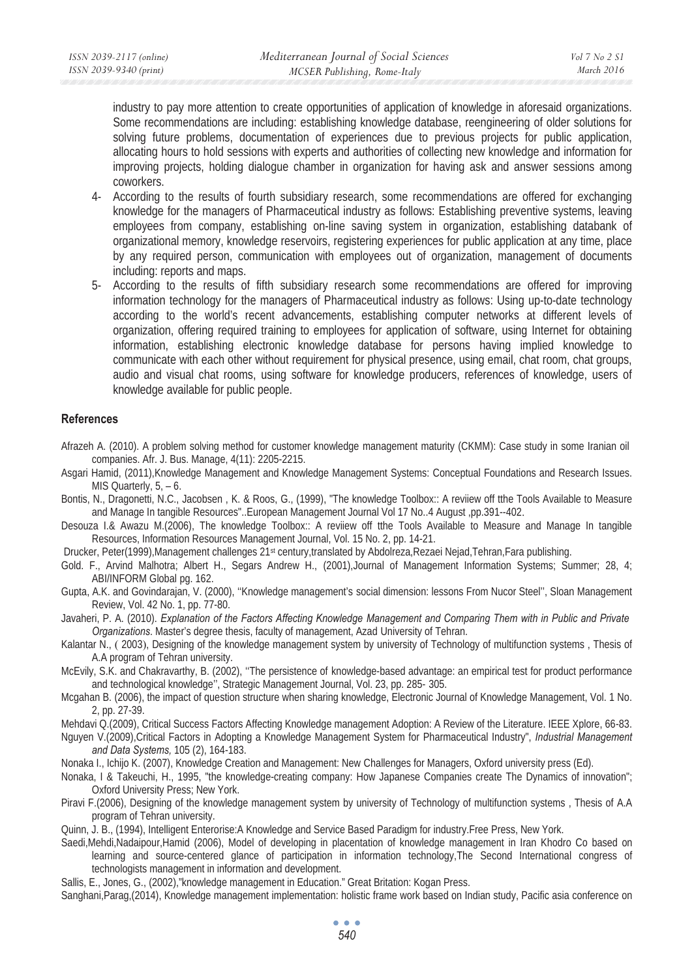industry to pay more attention to create opportunities of application of knowledge in aforesaid organizations. Some recommendations are including: establishing knowledge database, reengineering of older solutions for solving future problems, documentation of experiences due to previous projects for public application, allocating hours to hold sessions with experts and authorities of collecting new knowledge and information for improving projects, holding dialogue chamber in organization for having ask and answer sessions among coworkers.

- 4- According to the results of fourth subsidiary research, some recommendations are offered for exchanging knowledge for the managers of Pharmaceutical industry as follows: Establishing preventive systems, leaving employees from company, establishing on-line saving system in organization, establishing databank of organizational memory, knowledge reservoirs, registering experiences for public application at any time, place by any required person, communication with employees out of organization, management of documents including: reports and maps.
- 5- According to the results of fifth subsidiary research some recommendations are offered for improving information technology for the managers of Pharmaceutical industry as follows: Using up-to-date technology according to the world's recent advancements, establishing computer networks at different levels of organization, offering required training to employees for application of software, using Internet for obtaining information, establishing electronic knowledge database for persons having implied knowledge to communicate with each other without requirement for physical presence, using email, chat room, chat groups, audio and visual chat rooms, using software for knowledge producers, references of knowledge, users of knowledge available for public people.

#### **References**

- Afrazeh A. (2010). A problem solving method for customer knowledge management maturity (CKMM): Case study in some Iranian oil companies. Afr. J. Bus. Manage, 4(11): 2205-2215.
- Asgari Hamid, (2011),Knowledge Management and Knowledge Management Systems: Conceptual Foundations and Research Issues. MIS Quarterly, 5, – 6.
- Bontis, N., Dragonetti, N.C., Jacobsen , K. & Roos, G., (1999), "The knowledge Toolbox:: A reviiew off tthe Tools Available to Measure and Manage In tangible Resources"..European Management Journal Vol 17 No..4 August ,pp.391--402.
- Desouza I.& Awazu M.(2006), The knowledge Toolbox:: A reviiew off tthe Tools Available to Measure and Manage In tangible Resources, Information Resources Management Journal, Vol. 15 No. 2, pp. 14-21.
- Drucker, Peter(1999),Management challenges 21st century,translated by Abdolreza,Rezaei Nejad,Tehran,Fara publishing.
- Gold. F., Arvind Malhotra; Albert H., Segars Andrew H., (2001),Journal of Management Information Systems; Summer; 28, 4; ABI/INFORM Global pg. 162.
- Gupta, A.K. and Govindarajan, V. (2000), ''Knowledge management's social dimension: lessons From Nucor Steel'', Sloan Management Review, Vol. 42 No. 1, pp. 77-80.
- Javaheri, P. A. (2010). *Explanation of the Factors Affecting Knowledge Management and Comparing Them with in Public and Private Organizations*. Master's degree thesis, faculty of management, Azad University of Tehran.
- Kalantar N., ( 2003), Designing of the knowledge management system by university of Technology of multifunction systems , Thesis of A.A program of Tehran university.
- McEvily, S.K. and Chakravarthy, B. (2002), ''The persistence of knowledge-based advantage: an empirical test for product performance and technological knowledge'', Strategic Management Journal, Vol. 23, pp. 285- 305.
- Mcgahan B. (2006), the impact of question structure when sharing knowledge, Electronic Journal of Knowledge Management, Vol. 1 No. 2, pp. 27-39.
- Mehdavi Q.(2009), Critical Success Factors Affecting Knowledge management Adoption: A Review of the Literature. IEEE Xplore, 66-83.
- Nguyen V.(2009),Critical Factors in Adopting a Knowledge Management System for Pharmaceutical Industry", *Industrial Management and Data Systems,* 105 (2), 164-183.
- Nonaka I., Ichijo K. (2007), Knowledge Creation and Management: New Challenges for Managers, Oxford university press (Ed).
- Nonaka, I & Takeuchi, H., 1995, "the knowledge-creating company: How Japanese Companies create The Dynamics of innovation"; Oxford University Press; New York.
- Piravi F.(2006), Designing of the knowledge management system by university of Technology of multifunction systems , Thesis of A.A program of Tehran university.
- Quinn, J. B., (1994), Intelligent Enterorise:A Knowledge and Service Based Paradigm for industry.Free Press, New York.
- Saedi,Mehdi,Nadaipour,Hamid (2006), Model of developing in placentation of knowledge management in Iran Khodro Co based on learning and source-centered glance of participation in information technology,The Second International congress of technologists management in information and development.
- Sallis, E., Jones, G., (2002),"knowledge management in Education." Great Britation: Kogan Press.
- Sanghani,Parag,(2014), Knowledge management implementation: holistic frame work based on Indian study, Pacific asia conference on